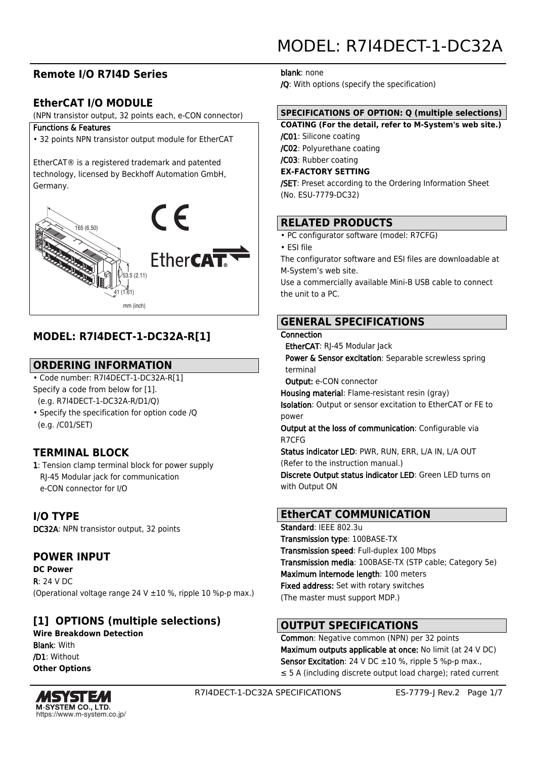# **Remote I/O R7I4D Series**

## **EtherCAT I/O MODULE**

(NPN transistor output, 32 points each, e-CON connector)

#### Functions & Features

• 32 points NPN transistor output module for EtherCAT

EtherCAT® is a registered trademark and patented technology, licensed by Beckhoff Automation GmbH, Germany.



# **MODEL: R7I4DECT-1-DC32A-R[1]**

### **ORDERING INFORMATION**

• Code number: R7I4DECT-1-DC32A-R[1] Specify a code from below for [1]. (e.g. R7I4DECT-1-DC32A-R/D1/Q)

• Specify the specification for option code /Q (e.g. /C01/SET)

## **TERMINAL BLOCK**

1: Tension clamp terminal block for power supply RJ-45 Modular jack for communication e-CON connector for I/O

**I/O TYPE** DC32A: NPN transistor output, 32 points

### **POWER INPUT**

**DC Power** R: 24 V DC (Operational voltage range 24 V  $\pm$ 10 %, ripple 10 %p-p max.)

# **[1] OPTIONS (multiple selections)**

**Wire Breakdown Detection** Blank: With /D1: Without **Other Options**



R7I4DECT-1-DC32A SPECIFICATIONS ES-7779-J Rev.2 Page 1/7

# MODEL: R7I4DECT-1-DC32A

blank: none

/Q: With options (specify the specification)

### **SPECIFICATIONS OF OPTION: Q (multiple selections)**

**COATING (For the detail, refer to M-System's web site.)** /C01: Silicone coating /C02: Polyurethane coating /C03: Rubber coating **EX-FACTORY SETTING** /SET: Preset according to the Ordering Information Sheet

(No. ESU-7779-DC32)

### **RELATED PRODUCTS**

• PC configurator software (model: R7CFG)

• ESI file

The configurator software and ESI files are downloadable at M-System's web site.

Use a commercially available Mini-B USB cable to connect the unit to a PC.

### **GENERAL SPECIFICATIONS**

#### **Connection**

EtherCAT: RI-45 Modular Jack

Power & Sensor excitation: Separable screwless spring terminal

Output: e-CON connector

Housing material: Flame-resistant resin (gray)

Isolation: Output or sensor excitation to EtherCAT or FE to power

Output at the loss of communication: Configurable via R7CFG

Status indicator LED: PWR, RUN, ERR, L/A IN, L/A OUT (Refer to the instruction manual.)

Discrete Output status indicator LED: Green LED turns on with Output ON

### **EtherCAT COMMUNICATION**

Standard: IEEE 802.3u Transmission type: 100BASE-TX Transmission speed: Full-duplex 100 Mbps Transmission media: 100BASE-TX (STP cable; Category 5e) Maximum internode length: 100 meters Fixed address: Set with rotary switches (The master must support MDP.)

### **OUTPUT SPECIFICATIONS**

Common: Negative common (NPN) per 32 points Maximum outputs applicable at once: No limit (at 24 V DC) Sensor Excitation: 24 V DC  $\pm 10$  %, ripple 5 %p-p max., ≤ 5 A (including discrete output load charge); rated current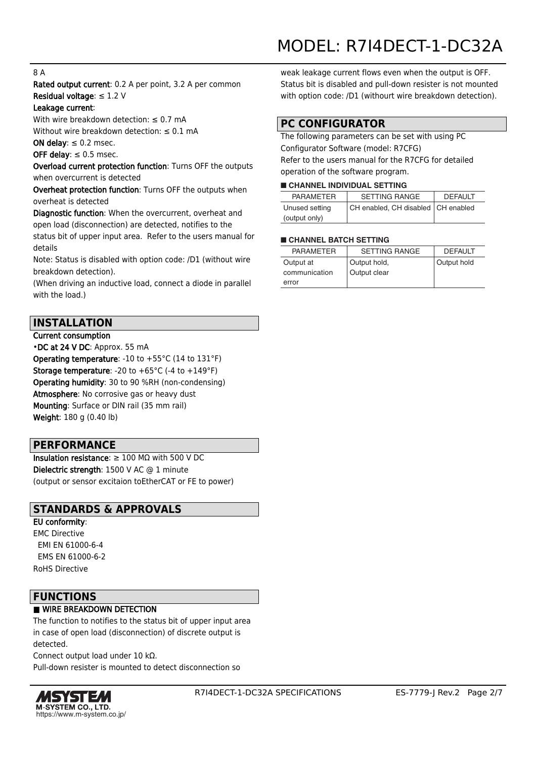#### 8 A

Rated output current: 0.2 A per point, 3.2 A per common Residual voltage: ≤ 1.2 V

#### Leakage current:

With wire breakdown detection:  $\leq 0.7$  mA Without wire breakdown detection:  $\leq 0.1$  mA

ON delay:  $\leq 0.2$  msec.

#### OFF delay:  $\leq 0.5$  msec.

Overload current protection function: Turns OFF the outputs when overcurrent is detected

Overheat protection function: Turns OFF the outputs when overheat is detected

Diagnostic function: When the overcurrent, overheat and open load (disconnection) are detected, notifies to the

status bit of upper input area. Refer to the users manual for details

Note: Status is disabled with option code: /D1 (without wire breakdown detection).

(When driving an inductive load, connect a diode in parallel with the load.)

#### **INSTALLATION**

Current consumption •DC at 24 V DC: Approx. 55 mA Operating temperature: -10 to +55°C (14 to 131°F) Storage temperature: -20 to +65°C (-4 to +149°F) Operating humidity: 30 to 90 %RH (non-condensing) Atmosphere: No corrosive gas or heavy dust Mounting: Surface or DIN rail (35 mm rail) Weight: 180 g (0.40 lb)

#### **PERFORMANCE**

Insulation resistance: ≥ 100 MΩ with 500 V DC Dielectric strength: 1500 V AC @ 1 minute (output or sensor excitaion toEtherCAT or FE to power)

### **STANDARDS & APPROVALS**

#### EU conformity:

EMC Directive EMI EN 61000-6-4 EMS EN 61000-6-2 RoHS Directive

### **FUNCTIONS**

#### ■ WIRE BREAKDOWN DETECTION

The function to notifies to the status bit of upper input area in case of open load (disconnection) of discrete output is detected.

Connect output load under 10 kΩ.

Pull-down resister is mounted to detect disconnection so



weak leakage current flows even when the output is OFF. Status bit is disabled and pull-down resister is not mounted with option code: /D1 (withourt wire breakdown detection).

### **PC CONFIGURATOR**

The following parameters can be set with using PC Configurator Software (model: R7CFG) Refer to the users manual for the R7CFG for detailed operation of the software program.

#### ■ **CHANNEL INDIVIDUAL SETTING**

| <b>PARAMETER</b> | <b>SETTING RANGE</b>                 | <b>DEFAULT</b> |
|------------------|--------------------------------------|----------------|
| Unused setting   | CH enabled, CH disabled   CH enabled |                |
| (output only)    |                                      |                |

#### ■ **CHANNEL BATCH SETTING**

| <b>PARAMETER</b> | <b>SETTING RANGE</b> | <b>DEFAULT</b> |
|------------------|----------------------|----------------|
| Output at        | Output hold,         | Output hold    |
| communication    | Output clear         |                |
| error            |                      |                |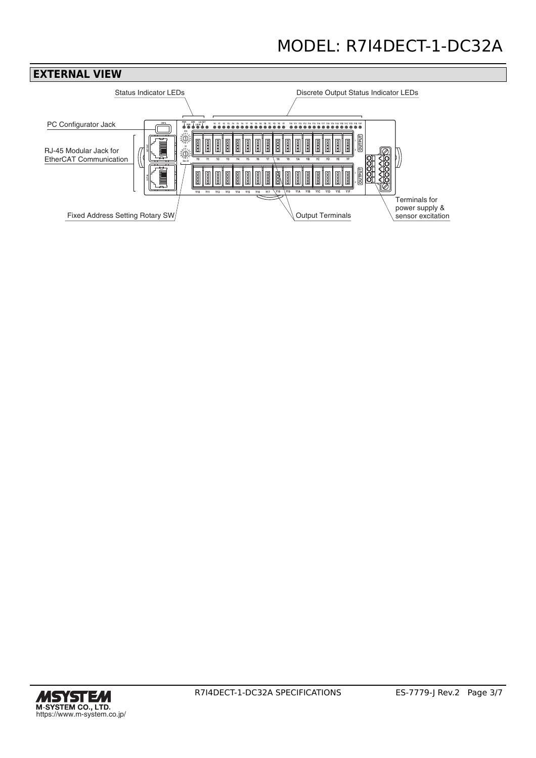

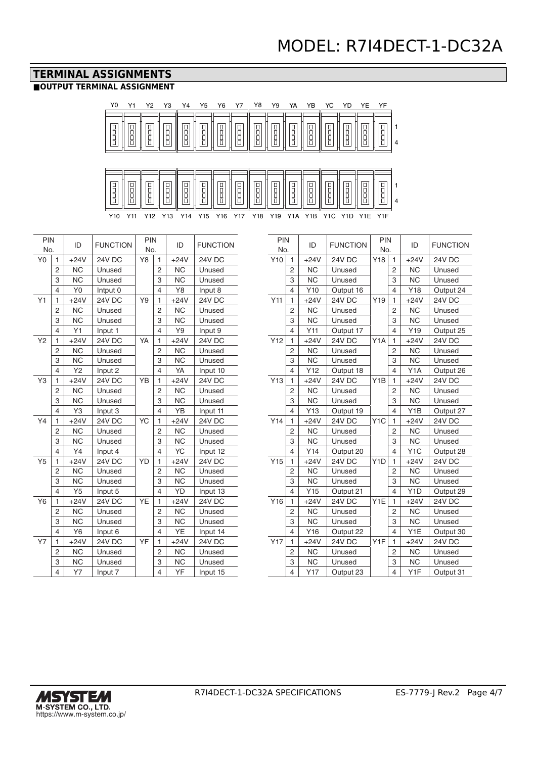### **TERMINAL ASSIGNMENTS**

#### **■OUTPUT TERMINAL ASSIGNMENT**

PIN



|                | 4                        | ĭυ             | miput v       |    | 4              | ĭΘ             | iriput o      |
|----------------|--------------------------|----------------|---------------|----|----------------|----------------|---------------|
| Y1             | 1                        | $+24V$         | <b>24V DC</b> | Y9 | 1              | $+24V$         | 24V DC        |
|                | 2                        | <b>NC</b>      | Unused        |    | 2              | NC.            | Unused        |
|                | 3                        | <b>NC</b>      | Unused        |    | 3              | N <sub>C</sub> | Unused        |
|                | $\overline{\mathcal{L}}$ | Y1             | Input 1       |    | $\overline{4}$ | Y9             | Input 9       |
| Y2             | 1                        | $+24V$         | <b>24V DC</b> | YA | 1              | $+24V$         | <b>24V DC</b> |
|                | $\overline{2}$           | <b>NC</b>      | Unused        |    | 2              | <b>NC</b>      | Unused        |
|                | 3                        | <b>NC</b>      | Unused        |    | 3              | <b>NC</b>      | Unused        |
|                | $\overline{\mathcal{L}}$ | Y <sub>2</sub> | Input 2       |    | $\overline{4}$ | YA             | Input 10      |
| Y3             | 1                        | $+24V$         | <b>24V DC</b> | YB | 1              | $+24V$         | <b>24V DC</b> |
|                | 2                        | <b>NC</b>      | Unused        |    | 2              | NC             | Unused        |
|                | 3                        | <b>NC</b>      | Unused        |    | 3              | NC             | Unused        |
|                | 4                        | Y3             | Input 3       |    | $\overline{4}$ | YB             | Input 11      |
| Y4             | 1                        | $+24V$         | 24V DC        | YC | 1              | $+24V$         | <b>24V DC</b> |
|                | $\overline{2}$           | <b>NC</b>      | Unused        |    | $\overline{2}$ | <b>NC</b>      | Unused        |
|                | 3                        | NC             | Unused        |    | 3              | NC             | Unused        |
|                | 4                        | Y4             | Input 4       |    | $\overline{4}$ | YC             | Input 12      |
| Y <sub>5</sub> | 1                        | $+24V$         | 24V DC        | YD | 1              | $+24V$         | 24V DC        |
|                | 2                        | NC             | Unused        |    | 2              | NC             | Unused        |
|                | 3                        | <b>NC</b>      | Unused        |    | 3              | <b>NC</b>      | Unused        |
|                | 4                        | Y5             | Input 5       |    | $\overline{4}$ | <b>YD</b>      | Input 13      |
| Y6             | 1                        | $+24V$         | 24V DC        | YE | 1              | $+24V$         | <b>24V DC</b> |
|                | $\overline{2}$           | <b>NC</b>      | Unused        |    | 2              | <b>NC</b>      | Unused        |
|                | 3                        | <b>NC</b>      | Unused        |    | 3              | <b>NC</b>      | Unused        |
|                | $\overline{4}$           | Y6             | Input 6       |    | $\overline{4}$ | YE             | Input 14      |
| <b>Y7</b>      | 1                        | $+24V$         | <b>24V DC</b> | YF | 1              | $+24V$         | 24V DC        |
|                | 2                        | <b>NC</b>      | Unused        |    | 2              | NC             | Unused        |
|                | 3                        | <b>NC</b>      | Unused        |    | 3              | <b>NC</b>      | Unused        |
|                | 4                        | Y7             | Input 7       |    | 4              | YF             | Input 15      |

| PIN |                | ID        | <b>FUNCTION</b> | PIN<br>No.       |                          | ID               | <b>FUNCTION</b> |
|-----|----------------|-----------|-----------------|------------------|--------------------------|------------------|-----------------|
| No. |                |           |                 |                  |                          |                  |                 |
| Y10 | 1              | $+24V$    | 24V DC          | Y18              | 1                        | $+24V$           | 24V DC          |
|     | $\overline{2}$ | <b>NC</b> | Unused          |                  | $\overline{2}$           | <b>NC</b>        | Unused          |
|     | 3              | <b>NC</b> | Unused          |                  | 3                        | <b>NC</b>        | Unused          |
|     | 4              | Y10       | Output 16       |                  | $\overline{\mathcal{L}}$ | Y18              | Output 24       |
| Y11 | 1              | $+24V$    | <b>24V DC</b>   | Y19              | 1                        | $+24V$           | 24V DC          |
|     | 2              | <b>NC</b> | Unused          |                  | $\overline{2}$           | <b>NC</b>        | Unused          |
|     | 3              | <b>NC</b> | Unused          |                  | 3                        | <b>NC</b>        | Unused          |
|     | 4              | Y11       | Output 17       |                  | $\overline{\mathcal{L}}$ | Y19              | Output 25       |
| Y12 | 1              | $+24V$    | <b>24V DC</b>   | Y1A              | 1                        | $+24V$           | <b>24V DC</b>   |
|     | $\overline{2}$ | <b>NC</b> | Unused          |                  | $\overline{2}$           | <b>NC</b>        | Unused          |
|     | 3              | <b>NC</b> | Unused          |                  | 3                        | <b>NC</b>        | Unused          |
|     | 4              | Y12       | Output 18       |                  | 4                        | Y <sub>1</sub> A | Output 26       |
| Y13 | 1              | $+24V$    | <b>24V DC</b>   | Y <sub>1</sub> B | 1                        | $+24V$           | <b>24V DC</b>   |
|     | 2              | <b>NC</b> | Unused          |                  | $\overline{c}$           | <b>NC</b>        | Unused          |
|     | 3              | <b>NC</b> | Unused          |                  | 3                        | <b>NC</b>        | Unused          |
|     | 4              | Y13       | Output 19       |                  | $\overline{\mathcal{L}}$ | Y <sub>1</sub> B | Output 27       |
| Y14 | $\mathbf{1}$   | $+24V$    | <b>24V DC</b>   | Y <sub>1</sub> C | $\mathbf{1}$             | $+24V$           | <b>24V DC</b>   |
|     | 2              | <b>NC</b> | Unused          |                  | 2                        | <b>NC</b>        | Unused          |
|     | 3              | <b>NC</b> | Unused          |                  | 3                        | <b>NC</b>        | Unused          |
|     | 4              | Y14       | Output 20       |                  | 4                        | Y <sub>1</sub> C | Output 28       |
| Y15 | $\mathbf{1}$   | $+24V$    | <b>24V DC</b>   | Y <sub>1</sub> D | $\mathbf{1}$             | $+24V$           | <b>24V DC</b>   |
|     | 2              | <b>NC</b> | Unused          |                  | $\overline{2}$           | <b>NC</b>        | Unused          |
|     | 3              | <b>NC</b> | Unused          |                  | 3                        | <b>NC</b>        | Unused          |
|     | 4              | Y15       | Output 21       |                  | $\overline{\mathcal{L}}$ | Y <sub>1</sub> D | Output 29       |
| Y16 | $\mathbf{1}$   | $+24V$    | <b>24V DC</b>   | Y <sub>1</sub> E | $\mathbf{1}$             | $+24V$           | <b>24V DC</b>   |
|     | 2              | <b>NC</b> | Unused          |                  | 2                        | <b>NC</b>        | Unused          |
|     | 3              | <b>NC</b> | Unused          |                  | 3                        | <b>NC</b>        | Unused          |
|     | 4              | Y16       | Output 22       |                  | 4                        | Y1E              | Output 30       |
| Y17 | 1              | $+24V$    | <b>24V DC</b>   | Y <sub>1</sub> F | 1                        | $+24V$           | <b>24V DC</b>   |
|     | 2              | <b>NC</b> | Unused          |                  | 2                        | <b>NC</b>        | Unused          |
|     | 3              | <b>NC</b> | Unused          |                  | 3                        | <b>NC</b>        | Unused          |
|     | 4              | Y17       | Output 23       |                  | 4                        | Y1F              | Output 31       |



 $\overline{a}$ 

L,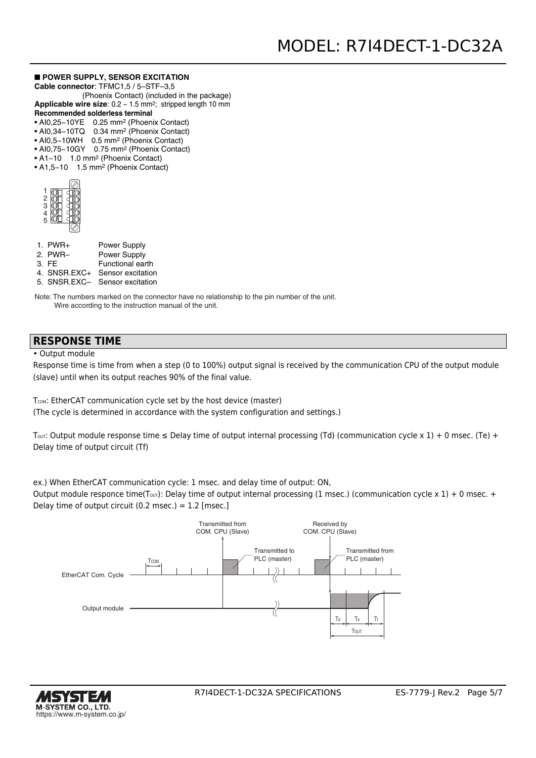#### ■ **POWER SUPPLY, SENSOR EXCITATION**

**Cable connector**: TFMC1,5 / 5–STF–3,5

- (Phoenix Contact) (included in the package) Applicable wire size: 0.2 - 1.5 mm<sup>2</sup>; stripped length 10 mm
- **Recommended solderless terminal**
- AI0,25−10YE 0.25 mm2 (Phoenix Contact)
- AI0,34−10TQ 0.34 mm2 (Phoenix Contact)
- AI0,5−10WH 0.5 mm2 (Phoenix Contact)
- AI0,75−10GY 0.75 mm2 (Phoenix Contact)
- A1−10 1.0 mm2 (Phoenix Contact) • A1,5−10 1.5 mm2 (Phoenix Contact)

| $\frac{2}{3}$ |  |
|---------------|--|
|               |  |
| š             |  |

| $1.$ PWR+ | <b>Power Supply</b> |
|-----------|---------------------|
| 2. PWR-   | Power Supply        |

- 3. FE Functional earth
- 4. SNSR.EXC+ Sensor excitation
- 5. SNSR.EXC– Sensor excitation

Note: The numbers marked on the connector have no relationship to the pin number of the unit. Wire according to the instruction manual of the unit.

#### **RESPONSE TIME**

• Output module

Response time is time from when a step (0 to 100%) output signal is received by the communication CPU of the output module (slave) until when its output reaches 90% of the final value.

T<sub>COM</sub>: EtherCAT communication cycle set by the host device (master) (The cycle is determined in accordance with the system configuration and settings.)

Tout: Output module response time  $\leq$  Delay time of output internal processing (Td) (communication cycle x 1) + 0 msec. (Te) + Delay time of output circuit (Tf)

ex.) When EtherCAT communication cycle: 1 msec. and delay time of output: ON,

Output module responce time(T<sub>OUT</sub>): Delay time of output internal processing (1 msec.) (communication cycle x 1) + 0 msec. + Delay time of output circuit  $(0.2 \text{ msec.}) = 1.2 \text{ [msec.]}$ 



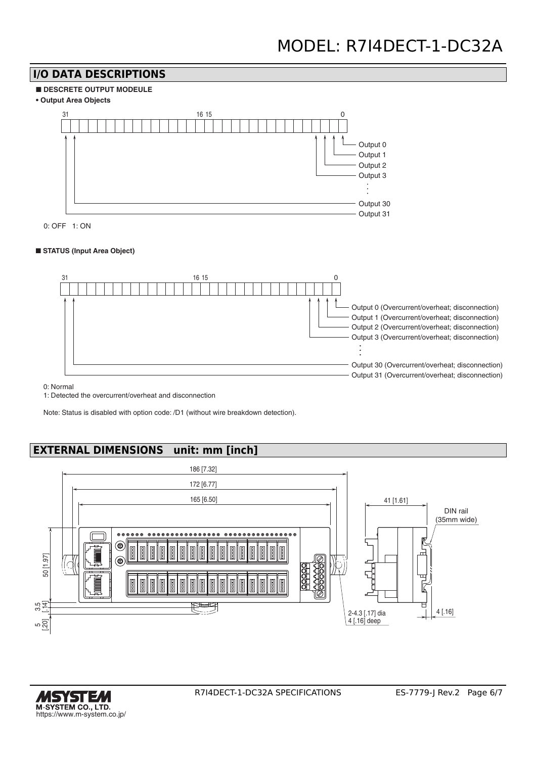# **I/O DATA DESCRIPTIONS**







0: OFF 1: ON

#### ■ **STATUS (Input Area Object)**



0: Normal

1: Detected the overcurrent/overheat and disconnection

Note: Status is disabled with option code: /D1 (without wire breakdown detection).

# **EXTERNAL DIMENSIONS unit: mm [inch]**